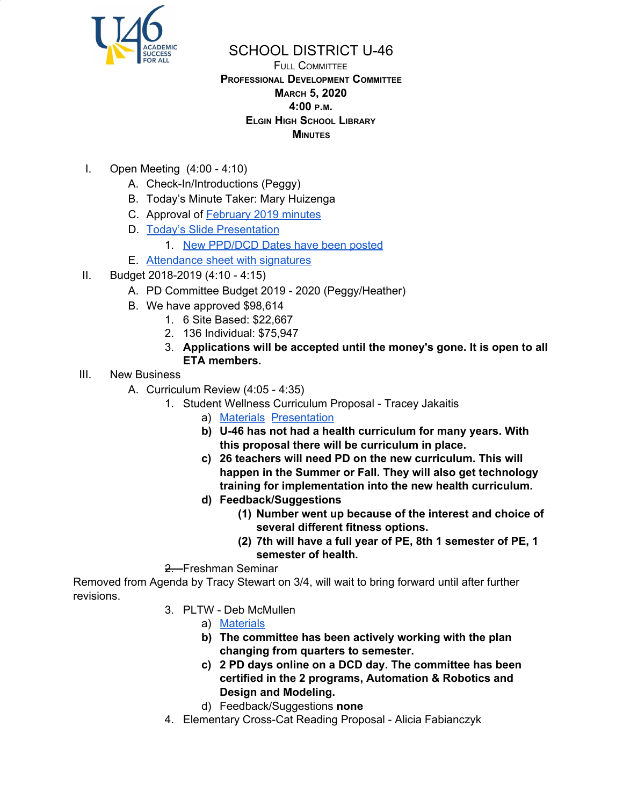

## SCHOOL DISTRICT U-46

### FULL COMMITTEE **PROFESSIONAL DEVELOPMENT COMMITTEE MARCH 5, 2020 4:00 <sup>P</sup>.M. ELGIN HIGH SCHOOL LIBRARY MINUTES**

- I. Open Meeting (4:00 4:10)
	- A. Check-In/Introductions (Peggy)
	- B. Today's Minute Taker: Mary Huizenga
	- C. Approval of [February](https://www.u-46.org/site/handlers/filedownload.ashx?moduleinstanceid=23441&dataid=46913&FileName=_2-6-20%20Minutes%20FC%20.pdf) 2019 minutes
	- D. Today's Slide [Presentation](https://docs.google.com/presentation/d/1FDpJqgVlmE3tifG6qFspssnJqTfoOKMagvsZHHk1aTE/edit?usp=sharing)
		- 1. New [PPD/DCD](https://www.u-46.org/Page/15501) Dates have been posted
	- E. [Attendance](https://drive.google.com/open?id=1dcsv2aww8Tn7Ih9hD5D1mz15TT69KIFm) sheet with signatures
- II. Budget 2018-2019 (4:10 4:15)
	- A. PD Committee Budget 2019 2020 (Peggy/Heather)
	- B. We have approved \$98,614
		- 1. 6 Site Based: \$22,667
		- 2. 136 Individual: \$75,947
		- 3. **Applications will be accepted until the money's gone. It is open to all ETA members.**
- III. New Business
	- A. Curriculum Review (4:05 4:35)
		- 1. Student Wellness Curriculum Proposal Tracey Jakaitis
			- a) [Materials](https://drive.google.com/file/d/1MzMXPIxQU1H-kXXL_BBIcReI1as5PO7t/view?usp=sharing) [Presentation](https://drive.google.com/file/d/1G7_w9er78spfeKSVcyuyBHzPnrl1TN7g/view?usp=sharing)
			- **b) U-46 has not had a health curriculum for many years. With this proposal there will be curriculum in place.**
			- **c) 26 teachers will need PD on the new curriculum. This will happen in the Summer or Fall. They will also get technology training for implementation into the new health curriculum.**
			- **d) Feedback/Suggestions**
				- **(1) Number went up because of the interest and choice of several different fitness options.**
				- **(2) 7th will have a full year of PE, 8th 1 semester of PE, 1 semester of health.**
		- 2. Freshman Seminar

Removed from Agenda by Tracy Stewart on 3/4, will wait to bring forward until after further revisions.

- 3. PLTW Deb McMullen
	- a) [Materials](https://docs.google.com/document/d/1PZGmzOZgReefwZ_Vv-aP_OIw7siaar8-ky87AxAgHl8/edit?usp=sharing)
	- **b) The committee has been actively working with the plan changing from quarters to semester.**
	- **c) 2 PD days online on a DCD day. The committee has been certified in the 2 programs, Automation & Robotics and Design and Modeling.**
	- d) Feedback/Suggestions **none**
- 4. Elementary Cross-Cat Reading Proposal Alicia Fabianczyk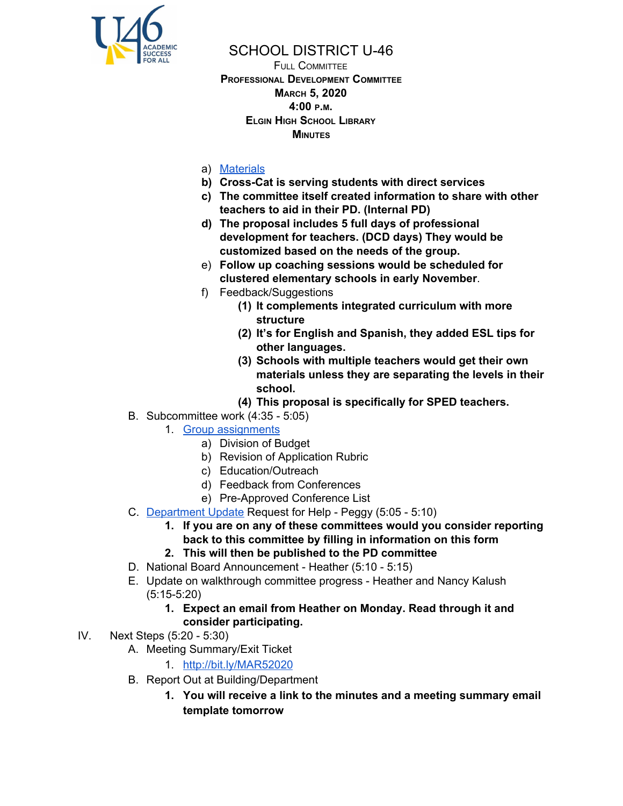

# SCHOOL DISTRICT U-46

FULL COMMITTEE **PROFESSIONAL DEVELOPMENT COMMITTEE MARCH 5, 2020 4:00 <sup>P</sup>.M. ELGIN HIGH SCHOOL LIBRARY MINUTES**

## a) [Materials](https://drive.google.com/file/d/1STGZs8vp7tlW7Aal86OdrVtQBRUR58ps/view?usp=sharing)

- **b) Cross-Cat is serving students with direct services**
- **c) The committee itself created information to share with other teachers to aid in their PD. (Internal PD)**
- **d) The proposal includes 5 full days of professional development for teachers. (DCD days) They would be customized based on the needs of the group.**
- e) **Follow up coaching sessions would be scheduled for clustered elementary schools in early November**.
- f) Feedback/Suggestions
	- **(1) It complements integrated curriculum with more structure**
	- **(2) It's for English and Spanish, they added ESL tips for other languages.**
	- **(3) Schools with multiple teachers would get their own materials unless they are separating the levels in their school.**
	- **(4) This proposal is specifically for SPED teachers.**
- B. Subcommittee work (4:35 5:05)
	- 1. Group [assignments](https://docs.google.com/document/d/1IIcWRx7BhwLJDYBMRk6b81_0B5rOlWkDSvzgEldR69w/edit?usp=sharing)
		- a) Division of Budget
		- b) Revision of Application Rubric
		- c) Education/Outreach
		- d) Feedback from Conferences
		- e) Pre-Approved Conference List
- C. [Department](https://docs.google.com/document/d/1ps35q6O_6QTJjRS3sw2_vyDlCvGKJD_Zv-Gr-FFUzmQ/edit?usp=sharing) Update Request for Help Peggy (5:05 5:10)
	- **1. If you are on any of these committees would you consider reporting back to this committee by filling in information on this form**
	- **2. This will then be published to the PD committee**
- D. National Board Announcement Heather (5:10 5:15)
- E. Update on walkthrough committee progress Heather and Nancy Kalush (5:15-5:20)
	- **1. Expect an email from Heather on Monday. Read through it and consider participating.**
- IV. Next Steps (5:20 5:30)
	- A. Meeting Summary/Exit Ticket
		- 1. <http://bit.ly/MAR52020>
	- B. Report Out at Building/Department
		- **1. You will receive a link to the minutes and a meeting summary email template tomorrow**